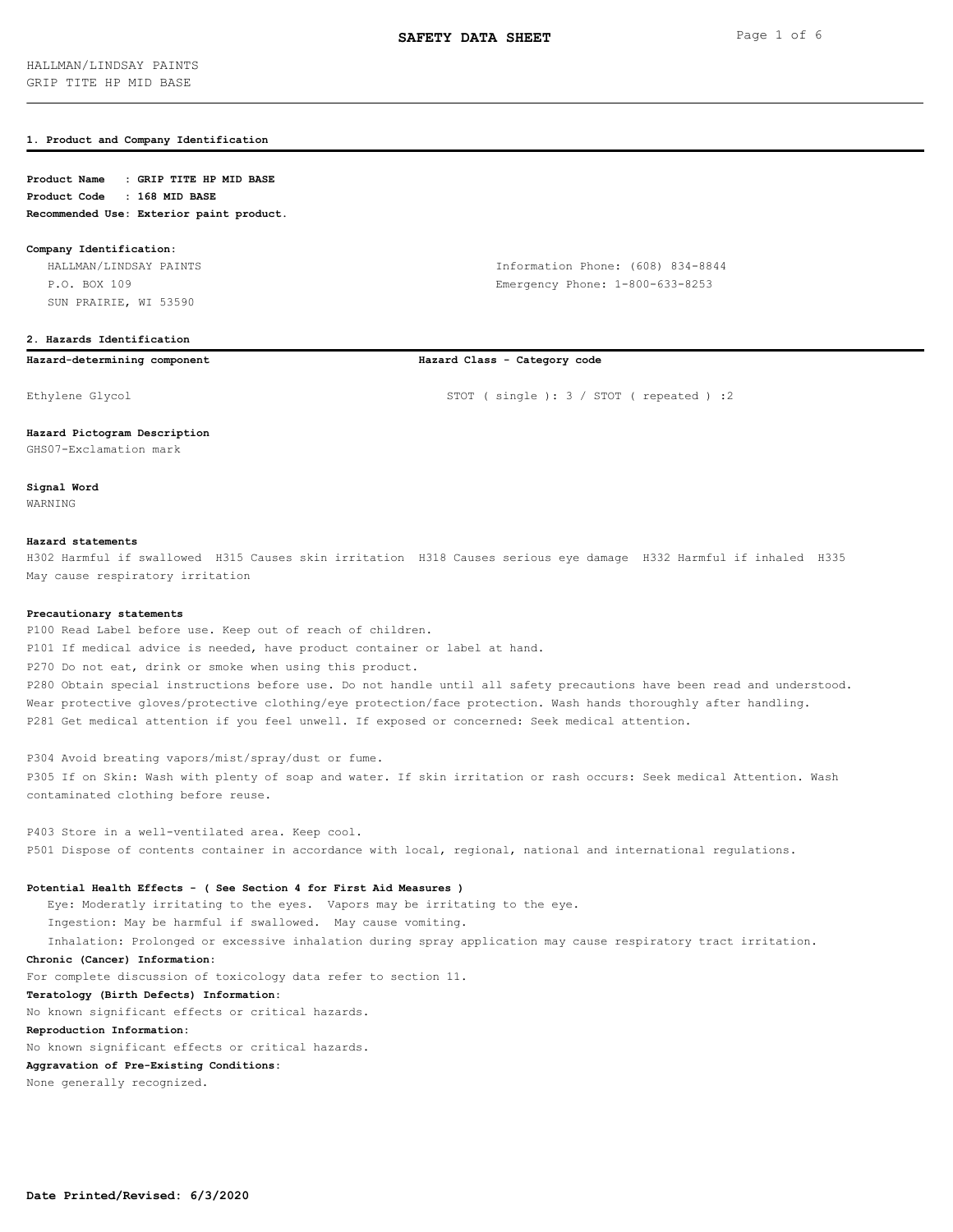# **1. Product and Company Identification**

# **Product Name : GRIP TITE HP MID BASE Product Code : 168 MID BASE Recommended Use: Exterior paint product.**

### **Company Identification:**

 HALLMAN/LINDSAY PAINTS Information Phone: (608) 834-8844 P.O. BOX 109 Emergency Phone: 1-800-633-8253 SUN PRAIRIE, WI 53590

# **2. Hazards Identification**

# **Hazard-determining component Hazard Class - Category code**

Ethylene Glycol STOT ( single ): 3 / STOT ( repeated ) : 2

### **Hazard Pictogram Description**

GHS07-Exclamation mark

**Signal Word** WARNING

## **Hazard statements**

H302 Harmful if swallowed H315 Causes skin irritation H318 Causes serious eye damage H332 Harmful if inhaled H335 May cause respiratory irritation

### **Precautionary statements**

P100 Read Label before use. Keep out of reach of children. P101 If medical advice is needed, have product container or label at hand. P270 Do not eat, drink or smoke when using this product. P280 Obtain special instructions before use. Do not handle until all safety precautions have been read and understood. Wear protective gloves/protective clothing/eye protection/face protection. Wash hands thoroughly after handling. P281 Get medical attention if you feel unwell. If exposed or concerned: Seek medical attention.

P304 Avoid breating vapors/mist/spray/dust or fume. P305 If on Skin: Wash with plenty of soap and water. If skin irritation or rash occurs: Seek medical Attention. Wash contaminated clothing before reuse.

P403 Store in a well-ventilated area. Keep cool. P501 Dispose of contents container in accordance with local, regional, national and international regulations.

## **Potential Health Effects - ( See Section 4 for First Aid Measures )**

 Eye: Moderatly irritating to the eyes. Vapors may be irritating to the eye. Ingestion: May be harmful if swallowed. May cause vomiting. Inhalation: Prolonged or excessive inhalation during spray application may cause respiratory tract irritation.

### **Chronic (Cancer) Information:**

For complete discussion of toxicology data refer to section 11.

### **Teratology (Birth Defects) Information:**

No known significant effects or critical hazards.

# **Reproduction Information:**

No known significant effects or critical hazards.

### **Aggravation of Pre-Existing Conditions:**

None generally recognized.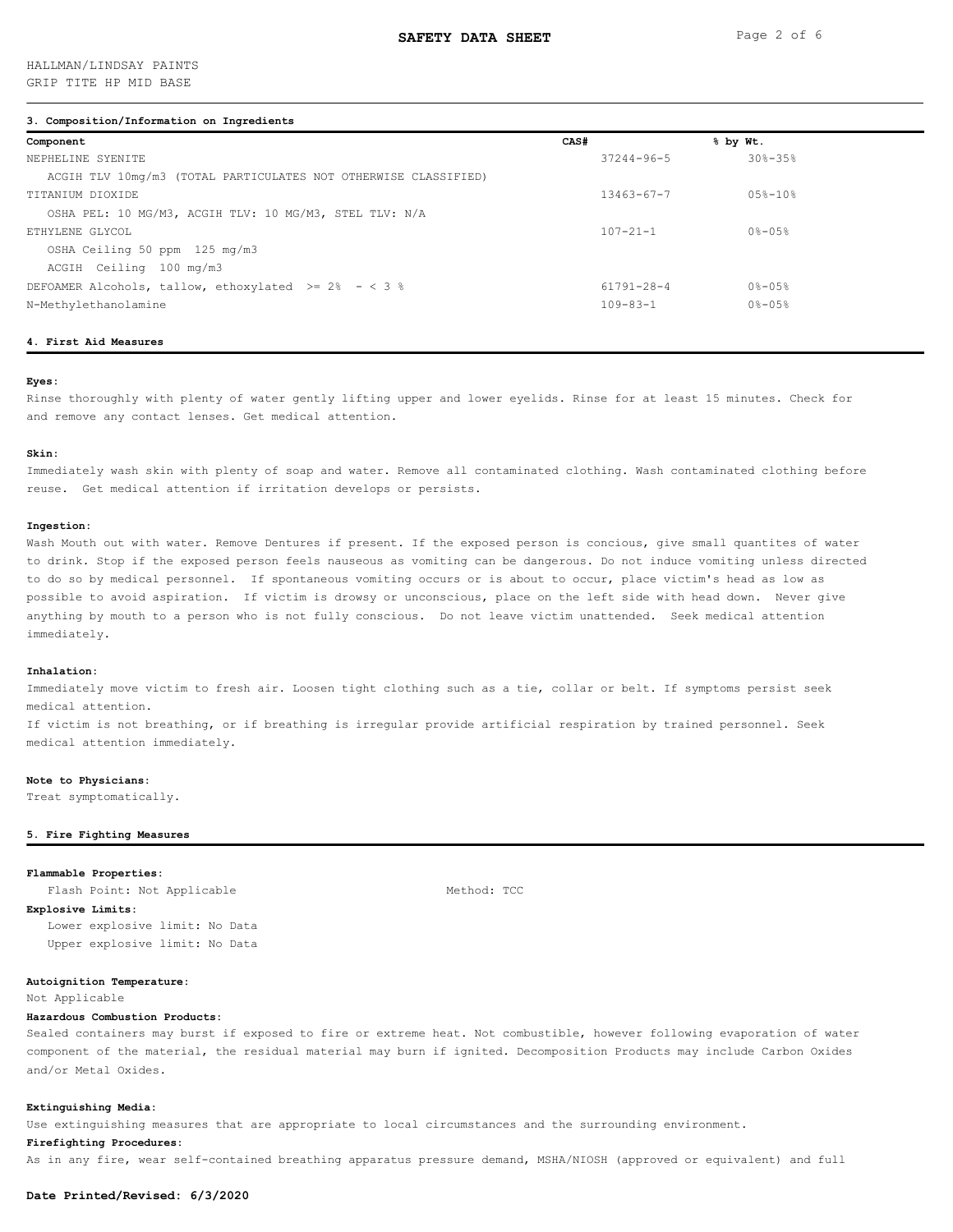# HALLMAN/LINDSAY PAINTS GRIP TITE HP MID BASE

### **3. Composition/Information on Ingredients**

| Component                                                       | CAS# |                  | % by Wt.           |
|-----------------------------------------------------------------|------|------------------|--------------------|
| NEPHELINE SYENITE                                               |      | $37244 - 96 - 5$ | $308 - 358$        |
| ACGIH TLV 10mg/m3 (TOTAL PARTICULATES NOT OTHERWISE CLASSIFIED) |      |                  |                    |
| TITANIUM DIOXIDE                                                |      | $13463 - 67 - 7$ | $0.5$ $8 - 10$ $8$ |
| OSHA PEL: 10 MG/M3, ACGIH TLV: 10 MG/M3, STEL TLV: N/A          |      |                  |                    |
| ETHYLENE GLYCOL                                                 |      | $107 - 21 - 1$   | $0 - 05 -$         |
| OSHA Ceiling 50 ppm 125 mg/m3                                   |      |                  |                    |
| ACGIH Ceiling 100 mg/m3                                         |      |                  |                    |
| DEFOAMER Alcohols, tallow, ethoxylated $>= 2\% - < 3\%$         |      | 61791-28-4       | $0 - 05 -$         |
| N-Methylethanolamine                                            |      | $109 - 83 - 1$   | $0 - 05 -$         |
|                                                                 |      |                  |                    |

# **4. First Aid Measures**

# **Eyes:**

Rinse thoroughly with plenty of water gently lifting upper and lower eyelids. Rinse for at least 15 minutes. Check for and remove any contact lenses. Get medical attention.

#### **Skin:**

Immediately wash skin with plenty of soap and water. Remove all contaminated clothing. Wash contaminated clothing before reuse. Get medical attention if irritation develops or persists.

#### **Ingestion:**

Wash Mouth out with water. Remove Dentures if present. If the exposed person is concious, give small quantites of water to drink. Stop if the exposed person feels nauseous as vomiting can be dangerous. Do not induce vomiting unless directed to do so by medical personnel. If spontaneous vomiting occurs or is about to occur, place victim's head as low as possible to avoid aspiration. If victim is drowsy or unconscious, place on the left side with head down. Never give anything by mouth to a person who is not fully conscious. Do not leave victim unattended. Seek medical attention immediately.

### **Inhalation:**

Immediately move victim to fresh air. Loosen tight clothing such as a tie, collar or belt. If symptoms persist seek medical attention.

If victim is not breathing, or if breathing is irregular provide artificial respiration by trained personnel. Seek medical attention immediately.

### **Note to Physicians:**

Treat symptomatically.

### **5. Fire Fighting Measures**

# **Flammable Properties:**

Flash Point: Not Applicable Method: TCC

**Explosive Limits:** Lower explosive limit: No Data Upper explosive limit: No Data

### **Autoignition Temperature:**

Not Applicable

### **Hazardous Combustion Products:**

Sealed containers may burst if exposed to fire or extreme heat. Not combustible, however following evaporation of water component of the material, the residual material may burn if ignited. Decomposition Products may include Carbon Oxides and/or Metal Oxides.

### **Extinguishing Media:**

Use extinguishing measures that are appropriate to local circumstances and the surrounding environment.

### **Firefighting Procedures:**

As in any fire, wear self-contained breathing apparatus pressure demand, MSHA/NIOSH (approved or equivalent) and full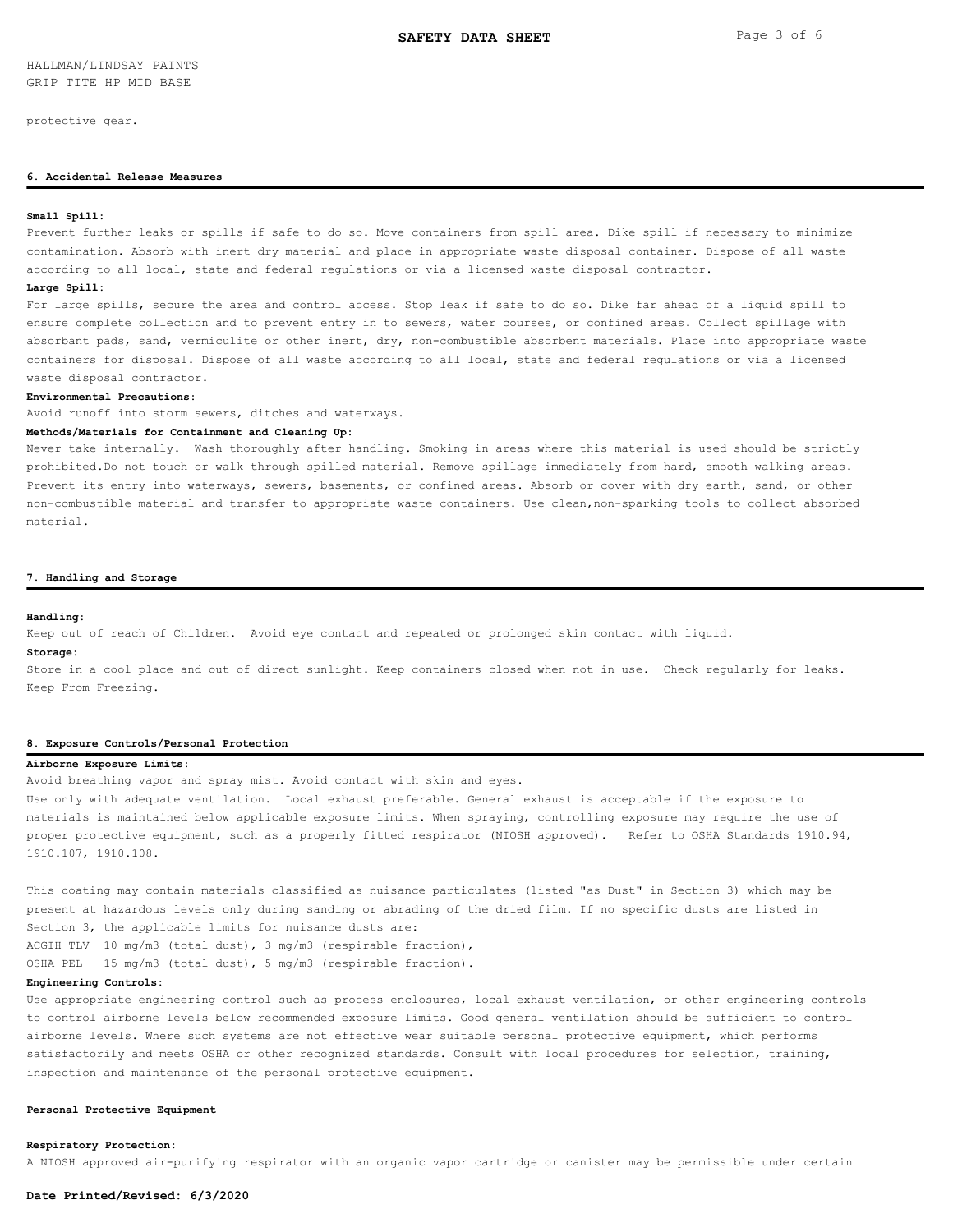protective gear.

# **6. Accidental Release Measures**

### **Small Spill:**

Prevent further leaks or spills if safe to do so. Move containers from spill area. Dike spill if necessary to minimize contamination. Absorb with inert dry material and place in appropriate waste disposal container. Dispose of all waste according to all local, state and federal regulations or via a licensed waste disposal contractor.

### **Large Spill:**

For large spills, secure the area and control access. Stop leak if safe to do so. Dike far ahead of a liquid spill to ensure complete collection and to prevent entry in to sewers, water courses, or confined areas. Collect spillage with absorbant pads, sand, vermiculite or other inert, dry, non-combustible absorbent materials. Place into appropriate waste containers for disposal. Dispose of all waste according to all local, state and federal regulations or via a licensed waste disposal contractor.

#### **Environmental Precautions:**

Avoid runoff into storm sewers, ditches and waterways.

### **Methods/Materials for Containment and Cleaning Up:**

Never take internally. Wash thoroughly after handling. Smoking in areas where this material is used should be strictly prohibited.Do not touch or walk through spilled material. Remove spillage immediately from hard, smooth walking areas. Prevent its entry into waterways, sewers, basements, or confined areas. Absorb or cover with dry earth, sand, or other non-combustible material and transfer to appropriate waste containers. Use clean,non-sparking tools to collect absorbed material.

### **7. Handling and Storage**

#### **Handling:**

Keep out of reach of Children. Avoid eye contact and repeated or prolonged skin contact with liquid.

# **Storage:**

Store in a cool place and out of direct sunlight. Keep containers closed when not in use. Check regularly for leaks. Keep From Freezing.

### **8. Exposure Controls/Personal Protection**

# **Airborne Exposure Limits:**

Avoid breathing vapor and spray mist. Avoid contact with skin and eyes.

Use only with adequate ventilation. Local exhaust preferable. General exhaust is acceptable if the exposure to materials is maintained below applicable exposure limits. When spraying, controlling exposure may require the use of proper protective equipment, such as a properly fitted respirator (NIOSH approved). Refer to OSHA Standards 1910.94, 1910.107, 1910.108.

This coating may contain materials classified as nuisance particulates (listed "as Dust" in Section 3) which may be present at hazardous levels only during sanding or abrading of the dried film. If no specific dusts are listed in Section 3, the applicable limits for nuisance dusts are: ACGIH TLV 10 mg/m3 (total dust), 3 mg/m3 (respirable fraction),

OSHA PEL 15 mg/m3 (total dust), 5 mg/m3 (respirable fraction).

# **Engineering Controls:**

Use appropriate engineering control such as process enclosures, local exhaust ventilation, or other engineering controls to control airborne levels below recommended exposure limits. Good general ventilation should be sufficient to control airborne levels. Where such systems are not effective wear suitable personal protective equipment, which performs satisfactorily and meets OSHA or other recognized standards. Consult with local procedures for selection, training, inspection and maintenance of the personal protective equipment.

# **Personal Protective Equipment**

# **Respiratory Protection:**

A NIOSH approved air-purifying respirator with an organic vapor cartridge or canister may be permissible under certain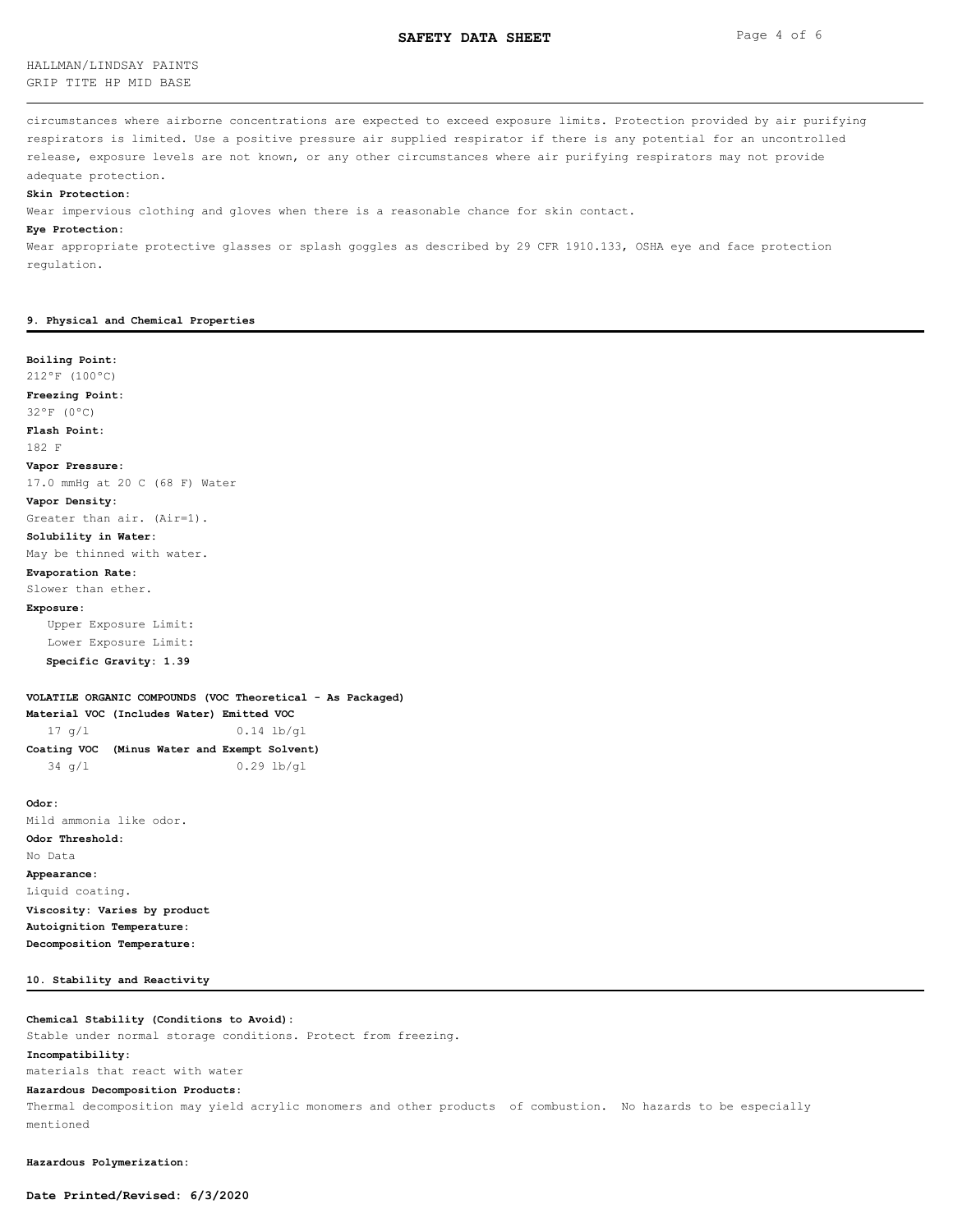# HALLMAN/LINDSAY PAINTS GRIP TITE HP MID BASE

circumstances where airborne concentrations are expected to exceed exposure limits. Protection provided by air purifying respirators is limited. Use a positive pressure air supplied respirator if there is any potential for an uncontrolled release, exposure levels are not known, or any other circumstances where air purifying respirators may not provide adequate protection.

### **Skin Protection:**

Wear impervious clothing and gloves when there is a reasonable chance for skin contact.

### **Eye Protection:**

Wear appropriate protective glasses or splash goggles as described by 29 CFR 1910.133, OSHA eye and face protection regulation.

### **9. Physical and Chemical Properties**

### **Boiling Point:**

212ºF (100ºC)

**Freezing Point:**

32ºF (0ºC)

**Flash Point:**

182 F

**Vapor Pressure:**

17.0 mmHg at 20 C (68 F) Water

### **Vapor Density:**

Greater than air. (Air=1).

### **Solubility in Water:**

May be thinned with water.

### **Evaporation Rate:**

Slower than ether.

### **Exposure:**

 Upper Exposure Limit: Lower Exposure Limit:  **Specific Gravity: 1.39**

### **VOLATILE ORGANIC COMPOUNDS (VOC Theoretical - As Packaged)**

**Material VOC (Includes Water) Emitted VOC** 17 g/l 0.14 lb/gl

| Coating VOC (Minus Water and Exempt Solvent) |  |  |              |
|----------------------------------------------|--|--|--------------|
| $34 \sigma/L$                                |  |  | $0.29$ lb/ql |

**Odor:** Mild ammonia like odor. **Odor Threshold:** No Data **Appearance:** Liquid coating. **Viscosity: Varies by product Autoignition Temperature: Decomposition Temperature:**

### **10. Stability and Reactivity**

# **Chemical Stability (Conditions to Avoid):**

Stable under normal storage conditions. Protect from freezing.

# **Incompatibility:**

materials that react with water

# **Hazardous Decomposition Products:**

Thermal decomposition may yield acrylic monomers and other products of combustion. No hazards to be especially mentioned

**Hazardous Polymerization:**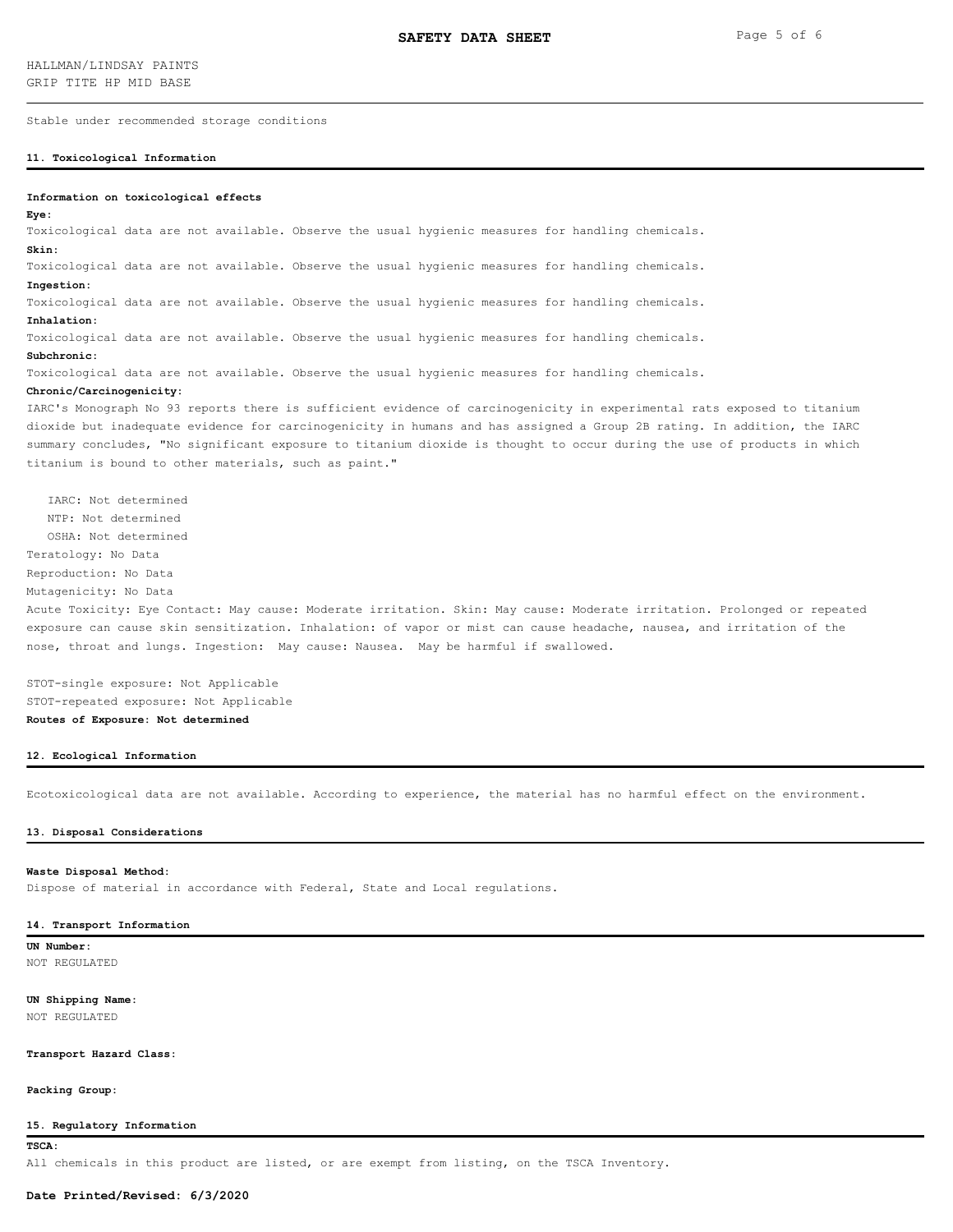Stable under recommended storage conditions

### **11. Toxicological Information**

### **Information on toxicological effects**

### **Eye:**

Toxicological data are not available. Observe the usual hygienic measures for handling chemicals.

# **Skin:**

Toxicological data are not available. Observe the usual hygienic measures for handling chemicals.

### **Ingestion:**

Toxicological data are not available. Observe the usual hygienic measures for handling chemicals.

### **Inhalation:**

Toxicological data are not available. Observe the usual hygienic measures for handling chemicals.

### **Subchronic:**

Toxicological data are not available. Observe the usual hygienic measures for handling chemicals.

# **Chronic/Carcinogenicity:**

IARC's Monograph No 93 reports there is sufficient evidence of carcinogenicity in experimental rats exposed to titanium dioxide but inadequate evidence for carcinogenicity in humans and has assigned a Group 2B rating. In addition, the IARC summary concludes, "No significant exposure to titanium dioxide is thought to occur during the use of products in which titanium is bound to other materials, such as paint."

 IARC: Not determined NTP: Not determined OSHA: Not determined Teratology: No Data

Reproduction: No Data

Mutagenicity: No Data

Acute Toxicity: Eye Contact: May cause: Moderate irritation. Skin: May cause: Moderate irritation. Prolonged or repeated exposure can cause skin sensitization. Inhalation: of vapor or mist can cause headache, nausea, and irritation of the nose, throat and lungs. Ingestion: May cause: Nausea. May be harmful if swallowed.

STOT-single exposure: Not Applicable STOT-repeated exposure: Not Applicable **Routes of Exposure: Not determined**

# **12. Ecological Information**

Ecotoxicological data are not available. According to experience, the material has no harmful effect on the environment.

### **13. Disposal Considerations**

### **Waste Disposal Method:**

Dispose of material in accordance with Federal, State and Local regulations.

### **14. Transport Information**

**UN Number:** NOT REGULATED

# **UN Shipping Name:**

NOT REGULATED

### **Transport Hazard Class:**

**Packing Group:**

### **15. Regulatory Information**

**TSCA:**

All chemicals in this product are listed, or are exempt from listing, on the TSCA Inventory.